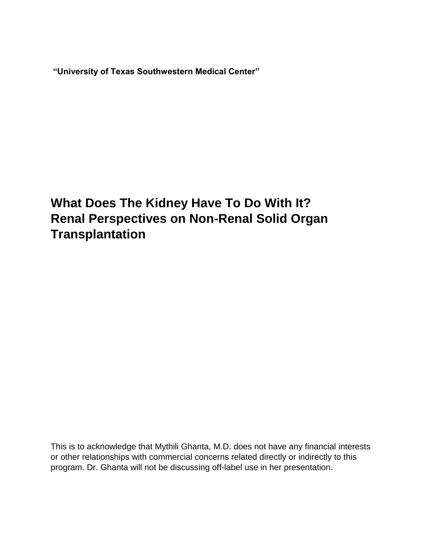**"University of Texas Southwestern Medical Center"**

# **What Does The Kidney Have To Do With It? Renal Perspectives on Non-Renal Solid Organ Transplantation**

This is to acknowledge that Mythili Ghanta, M.D. does not have any financial interests or other relationships with commercial concerns related directly or indirectly to this program. Dr. Ghanta will not be discussing off-label use in her presentation.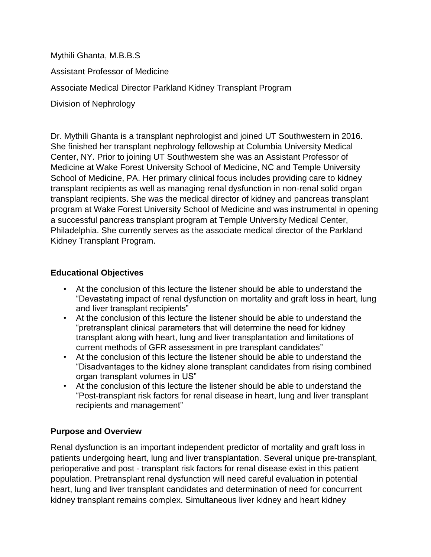Mythili Ghanta, M.B.B.S Assistant Professor of Medicine Associate Medical Director Parkland Kidney Transplant Program Division of Nephrology

Dr. Mythili Ghanta is a transplant nephrologist and joined UT Southwestern in 2016. She finished her transplant nephrology fellowship at Columbia University Medical Center, NY. Prior to joining UT Southwestern she was an Assistant Professor of Medicine at Wake Forest University School of Medicine, NC and Temple University School of Medicine, PA. Her primary clinical focus includes providing care to kidney transplant recipients as well as managing renal dysfunction in non-renal solid organ transplant recipients. She was the medical director of kidney and pancreas transplant program at Wake Forest University School of Medicine and was instrumental in opening a successful pancreas transplant program at Temple University Medical Center, Philadelphia. She currently serves as the associate medical director of the Parkland Kidney Transplant Program.

# **Educational Objectives**

- At the conclusion of this lecture the listener should be able to understand the "Devastating impact of renal dysfunction on mortality and graft loss in heart, lung and liver transplant recipients"
- At the conclusion of this lecture the listener should be able to understand the "pretransplant clinical parameters that will determine the need for kidney transplant along with heart, lung and liver transplantation and limitations of current methods of GFR assessment in pre transplant candidates"
- At the conclusion of this lecture the listener should be able to understand the "Disadvantages to the kidney alone transplant candidates from rising combined organ transplant volumes in US"
- At the conclusion of this lecture the listener should be able to understand the "Post-transplant risk factors for renal disease in heart, lung and liver transplant recipients and management"

# **Purpose and Overview**

Renal dysfunction is an important independent predictor of mortality and graft loss in patients undergoing heart, lung and liver transplantation. Several unique pre-transplant, perioperative and post - transplant risk factors for renal disease exist in this patient population. Pretransplant renal dysfunction will need careful evaluation in potential heart, lung and liver transplant candidates and determination of need for concurrent kidney transplant remains complex. Simultaneous liver kidney and heart kidney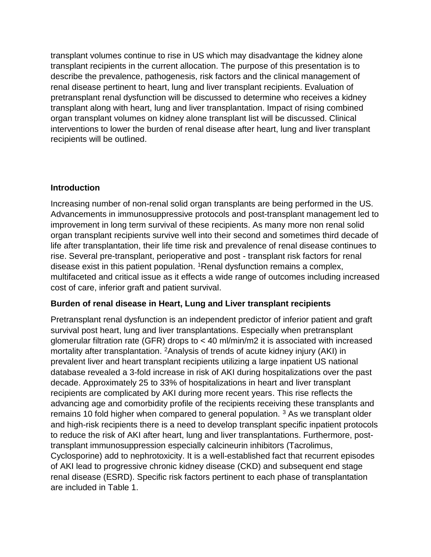transplant volumes continue to rise in US which may disadvantage the kidney alone transplant recipients in the current allocation. The purpose of this presentation is to describe the prevalence, pathogenesis, risk factors and the clinical management of renal disease pertinent to heart, lung and liver transplant recipients. Evaluation of pretransplant renal dysfunction will be discussed to determine who receives a kidney transplant along with heart, lung and liver transplantation. Impact of rising combined organ transplant volumes on kidney alone transplant list will be discussed. Clinical interventions to lower the burden of renal disease after heart, lung and liver transplant recipients will be outlined.

# **Introduction**

Increasing number of non-renal solid organ transplants are being performed in the US. Advancements in immunosuppressive protocols and post-transplant management led to improvement in long term survival of these recipients. As many more non renal solid organ transplant recipients survive well into their second and sometimes third decade of life after transplantation, their life time risk and prevalence of renal disease continues to rise. Several pre-transplant, perioperative and post - transplant risk factors for renal disease exist in this patient population. <sup>1</sup>Renal dysfunction remains a complex, multifaceted and critical issue as it effects a wide range of outcomes including increased cost of care, inferior graft and patient survival.

# **Burden of renal disease in Heart, Lung and Liver transplant recipients**

Pretransplant renal dysfunction is an independent predictor of inferior patient and graft survival post heart, lung and liver transplantations. Especially when pretransplant glomerular filtration rate (GFR) drops to < 40 ml/min/m2 it is associated with increased mortality after transplantation. <sup>2</sup>Analysis of trends of acute kidney injury (AKI) in prevalent liver and heart transplant recipients utilizing a large inpatient US national database revealed a 3-fold increase in risk of AKI during hospitalizations over the past decade. Approximately 25 to 33% of hospitalizations in heart and liver transplant recipients are complicated by AKI during more recent years. This rise reflects the advancing age and comorbidity profile of the recipients receiving these transplants and remains 10 fold higher when compared to general population. <sup>3</sup> As we transplant older and high-risk recipients there is a need to develop transplant specific inpatient protocols to reduce the risk of AKI after heart, lung and liver transplantations. Furthermore, posttransplant immunosuppression especially calcineurin inhibitors (Tacrolimus, Cyclosporine) add to nephrotoxicity. It is a well-established fact that recurrent episodes of AKI lead to progressive chronic kidney disease (CKD) and subsequent end stage renal disease (ESRD). Specific risk factors pertinent to each phase of transplantation are included in Table 1.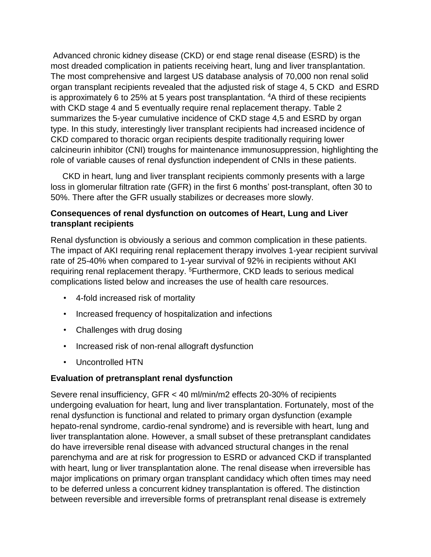Advanced chronic kidney disease (CKD) or end stage renal disease (ESRD) is the most dreaded complication in patients receiving heart, lung and liver transplantation. The most comprehensive and largest US database analysis of 70,000 non renal solid organ transplant recipients revealed that the adjusted risk of stage 4, 5 CKD and ESRD is approximately 6 to 25% at 5 years post transplantation. <sup>4</sup>A third of these recipients with CKD stage 4 and 5 eventually require renal replacement therapy. Table 2 summarizes the 5-year cumulative incidence of CKD stage 4,5 and ESRD by organ type. In this study, interestingly liver transplant recipients had increased incidence of CKD compared to thoracic organ recipients despite traditionally requiring lower calcineurin inhibitor (CNI) troughs for maintenance immunosuppression, highlighting the role of variable causes of renal dysfunction independent of CNIs in these patients.

 CKD in heart, lung and liver transplant recipients commonly presents with a large loss in glomerular filtration rate (GFR) in the first 6 months' post-transplant, often 30 to 50%. There after the GFR usually stabilizes or decreases more slowly.

# **Consequences of renal dysfunction on outcomes of Heart, Lung and Liver transplant recipients**

Renal dysfunction is obviously a serious and common complication in these patients. The impact of AKI requiring renal replacement therapy involves 1-year recipient survival rate of 25-40% when compared to 1-year survival of 92% in recipients without AKI requiring renal replacement therapy. <sup>5</sup>Furthermore, CKD leads to serious medical complications listed below and increases the use of health care resources.

- 4-fold increased risk of mortality
- Increased frequency of hospitalization and infections
- Challenges with drug dosing
- Increased risk of non-renal allograft dysfunction
- Uncontrolled HTN

#### **Evaluation of pretransplant renal dysfunction**

Severe renal insufficiency, GFR < 40 ml/min/m2 effects 20-30% of recipients undergoing evaluation for heart, lung and liver transplantation. Fortunately, most of the renal dysfunction is functional and related to primary organ dysfunction (example hepato-renal syndrome, cardio-renal syndrome) and is reversible with heart, lung and liver transplantation alone. However, a small subset of these pretransplant candidates do have irreversible renal disease with advanced structural changes in the renal parenchyma and are at risk for progression to ESRD or advanced CKD if transplanted with heart, lung or liver transplantation alone. The renal disease when irreversible has major implications on primary organ transplant candidacy which often times may need to be deferred unless a concurrent kidney transplantation is offered. The distinction between reversible and irreversible forms of pretransplant renal disease is extremely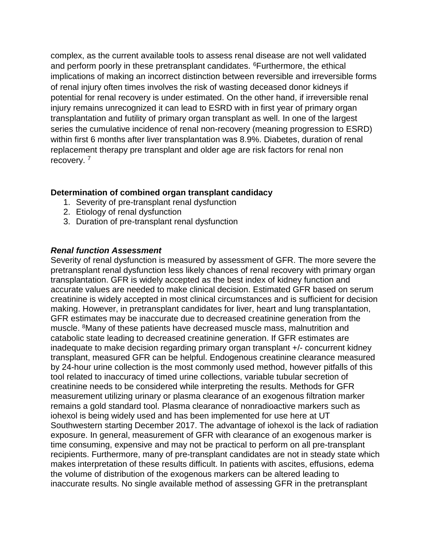complex, as the current available tools to assess renal disease are not well validated and perform poorly in these pretransplant candidates. <sup>6</sup>Furthermore, the ethical implications of making an incorrect distinction between reversible and irreversible forms of renal injury often times involves the risk of wasting deceased donor kidneys if potential for renal recovery is under estimated. On the other hand, if irreversible renal injury remains unrecognized it can lead to ESRD with in first year of primary organ transplantation and futility of primary organ transplant as well. In one of the largest series the cumulative incidence of renal non-recovery (meaning progression to ESRD) within first 6 months after liver transplantation was 8.9%. Diabetes, duration of renal replacement therapy pre transplant and older age are risk factors for renal non recovery.<sup>7</sup>

## **Determination of combined organ transplant candidacy**

- 1. Severity of pre-transplant renal dysfunction
- 2. Etiology of renal dysfunction
- 3. Duration of pre-transplant renal dysfunction

## *Renal function Assessment*

Severity of renal dysfunction is measured by assessment of GFR. The more severe the pretransplant renal dysfunction less likely chances of renal recovery with primary organ transplantation. GFR is widely accepted as the best index of kidney function and accurate values are needed to make clinical decision. Estimated GFR based on serum creatinine is widely accepted in most clinical circumstances and is sufficient for decision making. However, in pretransplant candidates for liver, heart and lung transplantation, GFR estimates may be inaccurate due to decreased creatinine generation from the muscle. <sup>8</sup>Many of these patients have decreased muscle mass, malnutrition and catabolic state leading to decreased creatinine generation. If GFR estimates are inadequate to make decision regarding primary organ transplant +/- concurrent kidney transplant, measured GFR can be helpful. Endogenous creatinine clearance measured by 24-hour urine collection is the most commonly used method, however pitfalls of this tool related to inaccuracy of timed urine collections, variable tubular secretion of creatinine needs to be considered while interpreting the results. Methods for GFR measurement utilizing urinary or plasma clearance of an exogenous filtration marker remains a gold standard tool. Plasma clearance of nonradioactive markers such as iohexol is being widely used and has been implemented for use here at UT Southwestern starting December 2017. The advantage of iohexol is the lack of radiation exposure. In general, measurement of GFR with clearance of an exogenous marker is time consuming, expensive and may not be practical to perform on all pre-transplant recipients. Furthermore, many of pre-transplant candidates are not in steady state which makes interpretation of these results difficult. In patients with ascites, effusions, edema the volume of distribution of the exogenous markers can be altered leading to inaccurate results. No single available method of assessing GFR in the pretransplant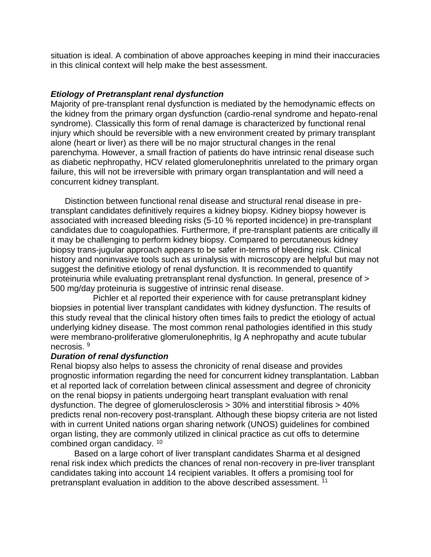situation is ideal. A combination of above approaches keeping in mind their inaccuracies in this clinical context will help make the best assessment.

#### *Etiology of Pretransplant renal dysfunction*

Majority of pre-transplant renal dysfunction is mediated by the hemodynamic effects on the kidney from the primary organ dysfunction (cardio-renal syndrome and hepato-renal syndrome). Classically this form of renal damage is characterized by functional renal injury which should be reversible with a new environment created by primary transplant alone (heart or liver) as there will be no major structural changes in the renal parenchyma. However, a small fraction of patients do have intrinsic renal disease such as diabetic nephropathy, HCV related glomerulonephritis unrelated to the primary organ failure, this will not be irreversible with primary organ transplantation and will need a concurrent kidney transplant.

 Distinction between functional renal disease and structural renal disease in pretransplant candidates definitively requires a kidney biopsy. Kidney biopsy however is associated with increased bleeding risks (5-10 % reported incidence) in pre-transplant candidates due to coagulopathies. Furthermore, if pre-transplant patients are critically ill it may be challenging to perform kidney biopsy. Compared to percutaneous kidney biopsy trans-jugular approach appears to be safer in-terms of bleeding risk. Clinical history and noninvasive tools such as urinalysis with microscopy are helpful but may not suggest the definitive etiology of renal dysfunction. It is recommended to quantify proteinuria while evaluating pretransplant renal dysfunction. In general, presence of > 500 mg/day proteinuria is suggestive of intrinsic renal disease.

 Pichler et al reported their experience with for cause pretransplant kidney biopsies in potential liver transplant candidates with kidney dysfunction. The results of this study reveal that the clinical history often times fails to predict the etiology of actual underlying kidney disease. The most common renal pathologies identified in this study were membrano-proliferative glomerulonephritis, Ig A nephropathy and acute tubular necrosis. 9

#### *Duration of renal dysfunction*

Renal biopsy also helps to assess the chronicity of renal disease and provides prognostic information regarding the need for concurrent kidney transplantation. Labban et al reported lack of correlation between clinical assessment and degree of chronicity on the renal biopsy in patients undergoing heart transplant evaluation with renal dysfunction. The degree of glomerulosclerosis > 30% and interstitial fibrosis > 40% predicts renal non-recovery post-transplant. Although these biopsy criteria are not listed with in current United nations organ sharing network (UNOS) guidelines for combined organ listing, they are commonly utilized in clinical practice as cut offs to determine combined organ candidacy. <sup>10</sup>

 Based on a large cohort of liver transplant candidates Sharma et al designed renal risk index which predicts the chances of renal non-recovery in pre-liver transplant candidates taking into account 14 recipient variables. It offers a promising tool for pretransplant evaluation in addition to the above described assessment. <sup>11</sup>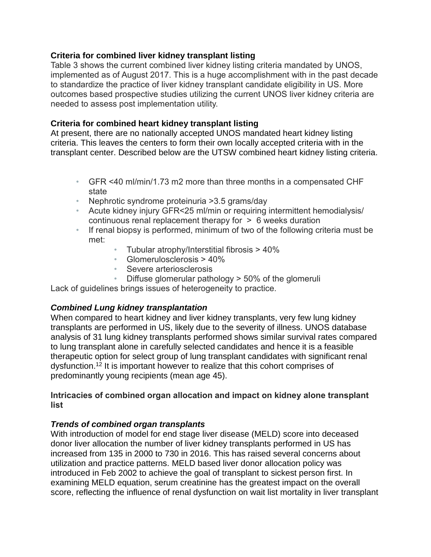### **Criteria for combined liver kidney transplant listing**

Table 3 shows the current combined liver kidney listing criteria mandated by UNOS, implemented as of August 2017. This is a huge accomplishment with in the past decade to standardize the practice of liver kidney transplant candidate eligibility in US. More outcomes based prospective studies utilizing the current UNOS liver kidney criteria are needed to assess post implementation utility.

# **Criteria for combined heart kidney transplant listing**

At present, there are no nationally accepted UNOS mandated heart kidney listing criteria. This leaves the centers to form their own locally accepted criteria with in the transplant center. Described below are the UTSW combined heart kidney listing criteria.

- GFR <40 ml/min/1.73 m2 more than three months in a compensated CHF state
- Nephrotic syndrome proteinuria >3.5 grams/day
- Acute kidney injury GFR<25 ml/min or requiring intermittent hemodialysis/ continuous renal replacement therapy for > 6 weeks duration
- If renal biopsy is performed, minimum of two of the following criteria must be met:
	- Tubular atrophy/Interstitial fibrosis > 40%
	- Glomerulosclerosis > 40%
	- Severe arteriosclerosis
	- Diffuse glomerular pathology > 50% of the glomeruli

Lack of guidelines brings issues of heterogeneity to practice.

# *Combined Lung kidney transplantation*

When compared to heart kidney and liver kidney transplants, very few lung kidney transplants are performed in US, likely due to the severity of illness. UNOS database analysis of 31 lung kidney transplants performed shows similar survival rates compared to lung transplant alone in carefully selected candidates and hence it is a feasible therapeutic option for select group of lung transplant candidates with significant renal dysfunction.<sup>12</sup> It is important however to realize that this cohort comprises of predominantly young recipients (mean age 45).

#### **Intricacies of combined organ allocation and impact on kidney alone transplant list**

#### *Trends of combined organ transplants*

With introduction of model for end stage liver disease (MELD) score into deceased donor liver allocation the number of liver kidney transplants performed in US has increased from 135 in 2000 to 730 in 2016. This has raised several concerns about utilization and practice patterns. MELD based liver donor allocation policy was introduced in Feb 2002 to achieve the goal of transplant to sickest person first. In examining MELD equation, serum creatinine has the greatest impact on the overall score, reflecting the influence of renal dysfunction on wait list mortality in liver transplant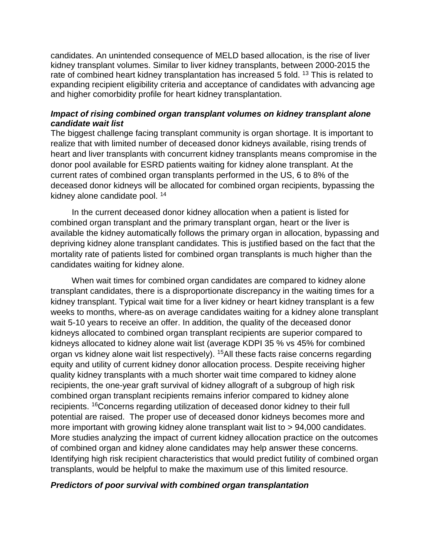candidates. An unintended consequence of MELD based allocation, is the rise of liver kidney transplant volumes. Similar to liver kidney transplants, between 2000-2015 the rate of combined heart kidney transplantation has increased 5 fold. <sup>13</sup> This is related to expanding recipient eligibility criteria and acceptance of candidates with advancing age and higher comorbidity profile for heart kidney transplantation.

### *Impact of rising combined organ transplant volumes on kidney transplant alone candidate wait list*

The biggest challenge facing transplant community is organ shortage. It is important to realize that with limited number of deceased donor kidneys available, rising trends of heart and liver transplants with concurrent kidney transplants means compromise in the donor pool available for ESRD patients waiting for kidney alone transplant. At the current rates of combined organ transplants performed in the US, 6 to 8% of the deceased donor kidneys will be allocated for combined organ recipients, bypassing the kidney alone candidate pool. <sup>14</sup>

 In the current deceased donor kidney allocation when a patient is listed for combined organ transplant and the primary transplant organ, heart or the liver is available the kidney automatically follows the primary organ in allocation, bypassing and depriving kidney alone transplant candidates. This is justified based on the fact that the mortality rate of patients listed for combined organ transplants is much higher than the candidates waiting for kidney alone.

 When wait times for combined organ candidates are compared to kidney alone transplant candidates, there is a disproportionate discrepancy in the waiting times for a kidney transplant. Typical wait time for a liver kidney or heart kidney transplant is a few weeks to months, where-as on average candidates waiting for a kidney alone transplant wait 5-10 years to receive an offer. In addition, the quality of the deceased donor kidneys allocated to combined organ transplant recipients are superior compared to kidneys allocated to kidney alone wait list (average KDPI 35 % vs 45% for combined organ vs kidney alone wait list respectively). <sup>15</sup>All these facts raise concerns regarding equity and utility of current kidney donor allocation process. Despite receiving higher quality kidney transplants with a much shorter wait time compared to kidney alone recipients, the one-year graft survival of kidney allograft of a subgroup of high risk combined organ transplant recipients remains inferior compared to kidney alone recipients. <sup>16</sup>Concerns regarding utilization of deceased donor kidney to their full potential are raised. The proper use of deceased donor kidneys becomes more and more important with growing kidney alone transplant wait list to > 94,000 candidates. More studies analyzing the impact of current kidney allocation practice on the outcomes of combined organ and kidney alone candidates may help answer these concerns. Identifying high risk recipient characteristics that would predict futility of combined organ transplants, would be helpful to make the maximum use of this limited resource.

### *Predictors of poor survival with combined organ transplantation*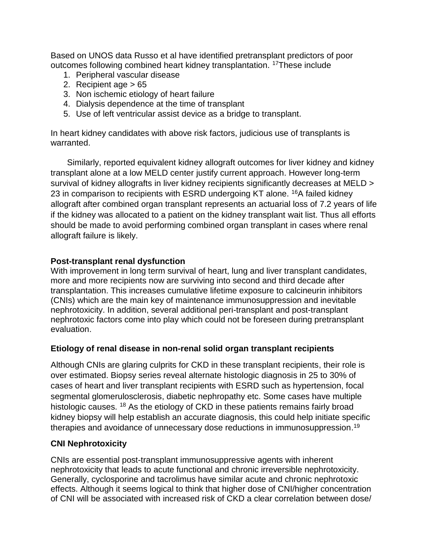Based on UNOS data Russo et al have identified pretransplant predictors of poor outcomes following combined heart kidney transplantation. <sup>17</sup>These include

- 1. Peripheral vascular disease
- 2. Recipient age > 65
- 3. Non ischemic etiology of heart failure
- 4. Dialysis dependence at the time of transplant
- 5. Use of left ventricular assist device as a bridge to transplant.

In heart kidney candidates with above risk factors, judicious use of transplants is warranted.

 Similarly, reported equivalent kidney allograft outcomes for liver kidney and kidney transplant alone at a low MELD center justify current approach. However long-term survival of kidney allografts in liver kidney recipients significantly decreases at MELD > 23 in comparison to recipients with ESRD undergoing KT alone. <sup>16</sup>A failed kidney allograft after combined organ transplant represents an actuarial loss of 7.2 years of life if the kidney was allocated to a patient on the kidney transplant wait list. Thus all efforts should be made to avoid performing combined organ transplant in cases where renal allograft failure is likely.

## **Post-transplant renal dysfunction**

With improvement in long term survival of heart, lung and liver transplant candidates, more and more recipients now are surviving into second and third decade after transplantation. This increases cumulative lifetime exposure to calcineurin inhibitors (CNIs) which are the main key of maintenance immunosuppression and inevitable nephrotoxicity. In addition, several additional peri-transplant and post-transplant nephrotoxic factors come into play which could not be foreseen during pretransplant evaluation.

#### **Etiology of renal disease in non-renal solid organ transplant recipients**

Although CNIs are glaring culprits for CKD in these transplant recipients, their role is over estimated. Biopsy series reveal alternate histologic diagnosis in 25 to 30% of cases of heart and liver transplant recipients with ESRD such as hypertension, focal segmental glomerulosclerosis, diabetic nephropathy etc. Some cases have multiple histologic causes. <sup>18</sup> As the etiology of CKD in these patients remains fairly broad kidney biopsy will help establish an accurate diagnosis, this could help initiate specific therapies and avoidance of unnecessary dose reductions in immunosuppression.<sup>19</sup>

#### **CNI Nephrotoxicity**

CNIs are essential post-transplant immunosuppressive agents with inherent nephrotoxicity that leads to acute functional and chronic irreversible nephrotoxicity. Generally, cyclosporine and tacrolimus have similar acute and chronic nephrotoxic effects. Although it seems logical to think that higher dose of CNI/higher concentration of CNI will be associated with increased risk of CKD a clear correlation between dose/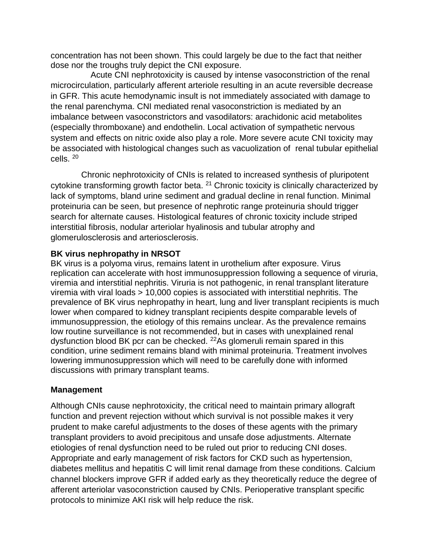concentration has not been shown. This could largely be due to the fact that neither dose nor the troughs truly depict the CNI exposure.

 Acute CNI nephrotoxicity is caused by intense vasoconstriction of the renal microcirculation, particularly afferent arteriole resulting in an acute reversible decrease in GFR. This acute hemodynamic insult is not immediately associated with damage to the renal parenchyma. CNI mediated renal vasoconstriction is mediated by an imbalance between vasoconstrictors and vasodilators: arachidonic acid metabolites (especially thromboxane) and endothelin. Local activation of sympathetic nervous system and effects on nitric oxide also play a role. More severe acute CNI toxicity may be associated with histological changes such as vacuolization of renal tubular epithelial cells. 20

 Chronic nephrotoxicity of CNIs is related to increased synthesis of pluripotent cytokine transforming growth factor beta. <sup>21</sup> Chronic toxicity is clinically characterized by lack of symptoms, bland urine sediment and gradual decline in renal function. Minimal proteinuria can be seen, but presence of nephrotic range proteinuria should trigger search for alternate causes. Histological features of chronic toxicity include striped interstitial fibrosis, nodular arteriolar hyalinosis and tubular atrophy and glomerulosclerosis and arteriosclerosis.

#### **BK virus nephropathy in NRSOT**

BK virus is a polyoma virus, remains latent in urothelium after exposure. Virus replication can accelerate with host immunosuppression following a sequence of viruria, viremia and interstitial nephritis. Viruria is not pathogenic, in renal transplant literature viremia with viral loads > 10,000 copies is associated with interstitial nephritis. The prevalence of BK virus nephropathy in heart, lung and liver transplant recipients is much lower when compared to kidney transplant recipients despite comparable levels of immunosuppression, the etiology of this remains unclear. As the prevalence remains low routine surveillance is not recommended, but in cases with unexplained renal dysfunction blood BK pcr can be checked. <sup>22</sup>As glomeruli remain spared in this condition, urine sediment remains bland with minimal proteinuria. Treatment involves lowering immunosuppression which will need to be carefully done with informed discussions with primary transplant teams.

#### **Management**

Although CNIs cause nephrotoxicity, the critical need to maintain primary allograft function and prevent rejection without which survival is not possible makes it very prudent to make careful adjustments to the doses of these agents with the primary transplant providers to avoid precipitous and unsafe dose adjustments. Alternate etiologies of renal dysfunction need to be ruled out prior to reducing CNI doses. Appropriate and early management of risk factors for CKD such as hypertension, diabetes mellitus and hepatitis C will limit renal damage from these conditions. Calcium channel blockers improve GFR if added early as they theoretically reduce the degree of afferent arteriolar vasoconstriction caused by CNIs. Perioperative transplant specific protocols to minimize AKI risk will help reduce the risk.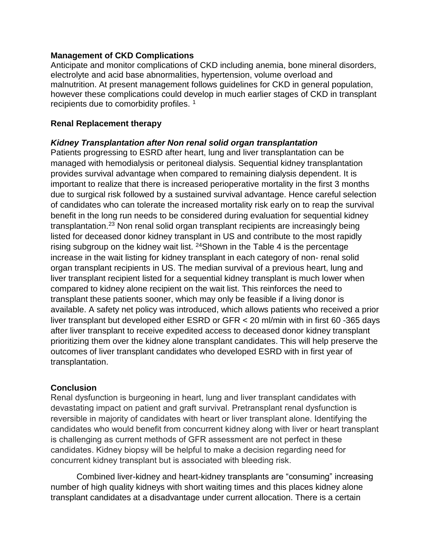#### **Management of CKD Complications**

Anticipate and monitor complications of CKD including anemia, bone mineral disorders, electrolyte and acid base abnormalities, hypertension, volume overload and malnutrition. At present management follows guidelines for CKD in general population, however these complications could develop in much earlier stages of CKD in transplant recipients due to comorbidity profiles. <sup>1</sup>

#### **Renal Replacement therapy**

#### *Kidney Transplantation after Non renal solid organ transplantation*

Patients progressing to ESRD after heart, lung and liver transplantation can be managed with hemodialysis or peritoneal dialysis. Sequential kidney transplantation provides survival advantage when compared to remaining dialysis dependent. It is important to realize that there is increased perioperative mortality in the first 3 months due to surgical risk followed by a sustained survival advantage. Hence careful selection of candidates who can tolerate the increased mortality risk early on to reap the survival benefit in the long run needs to be considered during evaluation for sequential kidney transplantation.<sup>23</sup> Non renal solid organ transplant recipients are increasingly being listed for deceased donor kidney transplant in US and contribute to the most rapidly rising subgroup on the kidney wait list. <sup>24</sup>Shown in the Table 4 is the percentage increase in the wait listing for kidney transplant in each category of non- renal solid organ transplant recipients in US. The median survival of a previous heart, lung and liver transplant recipient listed for a sequential kidney transplant is much lower when compared to kidney alone recipient on the wait list. This reinforces the need to transplant these patients sooner, which may only be feasible if a living donor is available. A safety net policy was introduced, which allows patients who received a prior liver transplant but developed either ESRD or GFR < 20 ml/min with in first 60 -365 days after liver transplant to receive expedited access to deceased donor kidney transplant prioritizing them over the kidney alone transplant candidates. This will help preserve the outcomes of liver transplant candidates who developed ESRD with in first year of transplantation.

#### **Conclusion**

Renal dysfunction is burgeoning in heart, lung and liver transplant candidates with devastating impact on patient and graft survival. Pretransplant renal dysfunction is reversible in majority of candidates with heart or liver transplant alone. Identifying the candidates who would benefit from concurrent kidney along with liver or heart transplant is challenging as current methods of GFR assessment are not perfect in these candidates. Kidney biopsy will be helpful to make a decision regarding need for concurrent kidney transplant but is associated with bleeding risk.

 Combined liver-kidney and heart-kidney transplants are "consuming" increasing number of high quality kidneys with short waiting times and this places kidney alone transplant candidates at a disadvantage under current allocation. There is a certain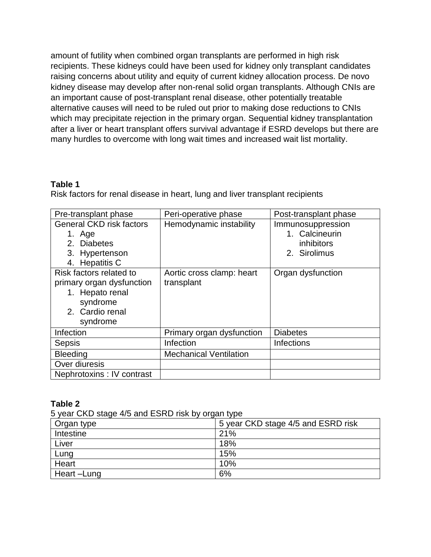amount of futility when combined organ transplants are performed in high risk recipients. These kidneys could have been used for kidney only transplant candidates raising concerns about utility and equity of current kidney allocation process. De novo kidney disease may develop after non-renal solid organ transplants. Although CNIs are an important cause of post-transplant renal disease, other potentially treatable alternative causes will need to be ruled out prior to making dose reductions to CNIs which may precipitate rejection in the primary organ. Sequential kidney transplantation after a liver or heart transplant offers survival advantage if ESRD develops but there are many hurdles to overcome with long wait times and increased wait list mortality.

## **Table 1**

Risk factors for renal disease in heart, lung and liver transplant recipients

| Pre-transplant phase                                                                                               | Peri-operative phase                    | Post-transplant phase                                             |
|--------------------------------------------------------------------------------------------------------------------|-----------------------------------------|-------------------------------------------------------------------|
| <b>General CKD risk factors</b><br>1. Age<br>2. Diabetes<br>3. Hypertenson<br>4. Hepatitis C                       | Hemodynamic instability                 | Immunosuppression<br>1. Calcineurin<br>inhibitors<br>2. Sirolimus |
| Risk factors related to<br>primary organ dysfunction<br>1. Hepato renal<br>syndrome<br>2. Cardio renal<br>syndrome | Aortic cross clamp: heart<br>transplant | Organ dysfunction                                                 |
| Infection                                                                                                          | Primary organ dysfunction               | <b>Diabetes</b>                                                   |
| <b>Sepsis</b>                                                                                                      | Infection                               | <b>Infections</b>                                                 |
| <b>Bleeding</b>                                                                                                    | <b>Mechanical Ventilation</b>           |                                                                   |
| Over diuresis                                                                                                      |                                         |                                                                   |
| Nephrotoxins : IV contrast                                                                                         |                                         |                                                                   |

#### **Table 2**

5 year CKD stage 4/5 and ESRD risk by organ type

| Organ type | 5 year CKD stage 4/5 and ESRD risk |
|------------|------------------------------------|
| Intestine  | 21%                                |
| Liver      | 18%                                |
| Lung       | 15%                                |
| Heart      | 10%                                |
| Heart-Lung | 6%                                 |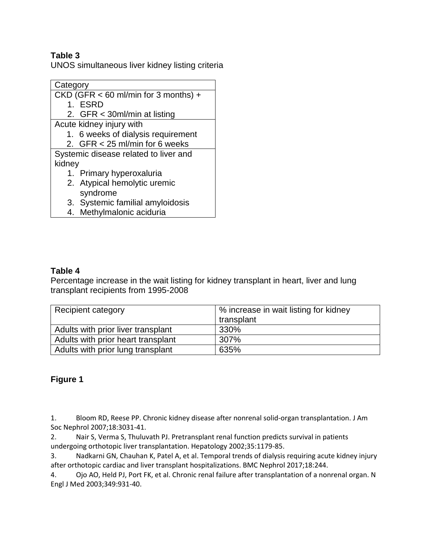# **Table 3**

UNOS simultaneous liver kidney listing criteria

**Category** CKD (GFR < 60 ml/min for 3 months) + 1. ESRD 2. GFR < 30ml/min at listing Acute kidney injury with 1. 6 weeks of dialysis requirement 2. GFR < 25 ml/min for 6 weeks Systemic disease related to liver and kidney 1. Primary hyperoxaluria 2. Atypical hemolytic uremic syndrome 3. Systemic familial amyloidosis

4. Methylmalonic aciduria

#### **Table 4**

Percentage increase in the wait listing for kidney transplant in heart, liver and lung transplant recipients from 1995-2008

| Recipient category                 | % increase in wait listing for kidney |
|------------------------------------|---------------------------------------|
|                                    | transplant                            |
| Adults with prior liver transplant | 330%                                  |
| Adults with prior heart transplant | 307%                                  |
| Adults with prior lung transplant  | 635%                                  |

#### **Figure 1**

1. Bloom RD, Reese PP. Chronic kidney disease after nonrenal solid-organ transplantation. J Am Soc Nephrol 2007;18:3031-41.

2. Nair S, Verma S, Thuluvath PJ. Pretransplant renal function predicts survival in patients undergoing orthotopic liver transplantation. Hepatology 2002;35:1179-85.

3. Nadkarni GN, Chauhan K, Patel A, et al. Temporal trends of dialysis requiring acute kidney injury after orthotopic cardiac and liver transplant hospitalizations. BMC Nephrol 2017;18:244.

4. Ojo AO, Held PJ, Port FK, et al. Chronic renal failure after transplantation of a nonrenal organ. N Engl J Med 2003;349:931-40.